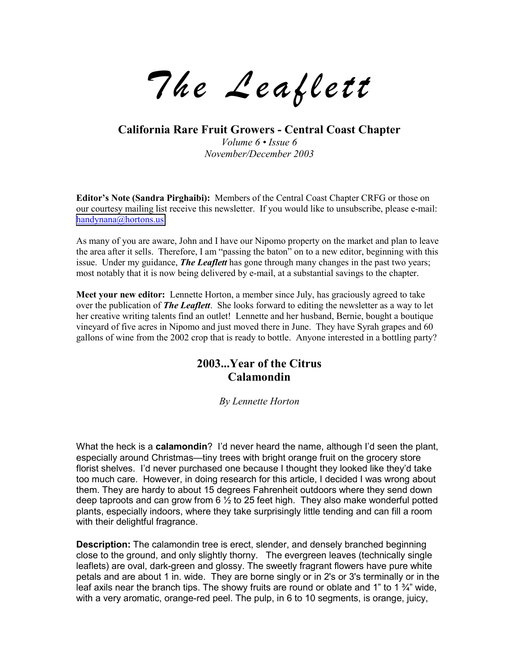*The Leaflett*

**California Rare Fruit Growers - Central Coast Chapter**

*Volume 6* • *Issue 6 November/December 2003*

**Editor's Note (Sandra Pirghaibi):** Members of the Central Coast Chapter CRFG or those on our courtesy mailing list receive this newsletter. If you would like to unsubscribe, please e-mail: [handynana@hortons.us](mailto:handynana@hortons.us)

As many of you are aware, John and I have our Nipomo property on the market and plan to leave the area after it sells. Therefore, I am "passing the baton" on to a new editor, beginning with this issue. Under my guidance, *The Leaflett* has gone through many changes in the past two years; most notably that it is now being delivered by e-mail, at a substantial savings to the chapter.

**Meet your new editor:** Lennette Horton, a member since July, has graciously agreed to take over the publication of *The Leaflett*. She looks forward to editing the newsletter as a way to let her creative writing talents find an outlet! Lennette and her husband, Bernie, bought a boutique vineyard of five acres in Nipomo and just moved there in June. They have Syrah grapes and 60 gallons of wine from the 2002 crop that is ready to bottle. Anyone interested in a bottling party?

# **2003...Year of the Citrus Calamondin**

#### *By Lennette Horton*

What the heck is a **calamondin**? Iíd never heard the name, although Iíd seen the plant, especially around Christmas—tiny trees with bright orange fruit on the grocery store florist shelves. I'd never purchased one because I thought they looked like they'd take too much care. However, in doing research for this article, I decided I was wrong about them. They are hardy to about 15 degrees Fahrenheit outdoors where they send down deep taproots and can grow from  $6\frac{1}{2}$  to 25 feet high. They also make wonderful potted plants, especially indoors, where they take surprisingly little tending and can fill a room with their delightful fragrance.

**Description:** The calamondin tree is erect, slender, and densely branched beginning close to the ground, and only slightly thorny. The evergreen leaves (technically single leaflets) are oval, dark-green and glossy. The sweetly fragrant flowers have pure white petals and are about 1 in. wide. They are borne singly or in 2's or 3's terminally or in the leaf axils near the branch tips. The showy fruits are round or oblate and 1" to 1 $\frac{3}{4}$ " wide, with a very aromatic, orange-red peel. The pulp, in 6 to 10 segments, is orange, juicy,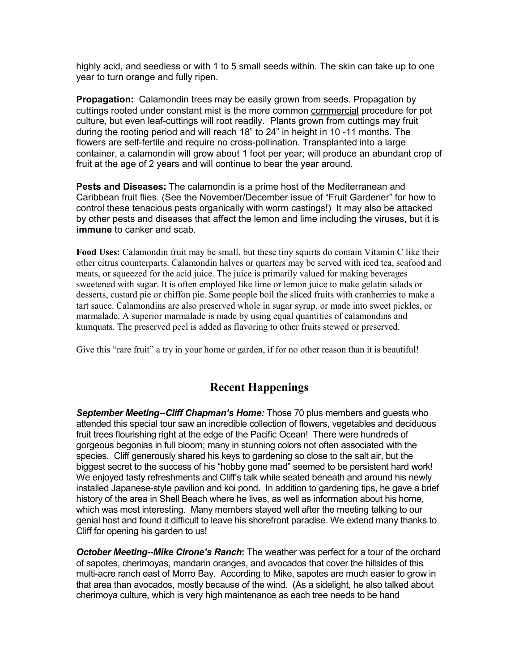highly acid, and seedless or with 1 to 5 small seeds within. The skin can take up to one year to turn orange and fully ripen.

**Propagation:** Calamondin trees may be easily grown from seeds. Propagation by cuttings rooted under constant mist is the more common commercial procedure for pot culture, but even leaf-cuttings will root readily. Plants grown from cuttings may fruit during the rooting period and will reach 18î to 24î in height in 10 -11 months. The flowers are self-fertile and require no cross-pollination. Transplanted into a large container, a calamondin will grow about 1 foot per year; will produce an abundant crop of fruit at the age of 2 years and will continue to bear the year around.

**Pests and Diseases:** The calamondin is a prime host of the Mediterranean and Caribbean fruit flies. (See the November/December issue of "Fruit Gardener" for how to control these tenacious pests organically with worm castings!) It may also be attacked by other pests and diseases that affect the lemon and lime including the viruses, but it is **immune** to canker and scab.

**Food Uses:** Calamondin fruit may be small, but these tiny squirts do contain Vitamin C like their other citrus counterparts. Calamondin halves or quarters may be served with iced tea, seafood and meats, or squeezed for the acid juice. The juice is primarily valued for making beverages sweetened with sugar. It is often employed like lime or lemon juice to make gelatin salads or desserts, custard pie or chiffon pie. Some people boil the sliced fruits with cranberries to make a tart sauce. Calamondins are also preserved whole in sugar syrup, or made into sweet pickles, or marmalade. A superior marmalade is made by using equal quantities of calamondins and kumquats. The preserved peel is added as flavoring to other fruits stewed or preserved.

Give this "rare fruit" a try in your home or garden, if for no other reason than it is beautiful!

# **Recent Happenings**

*September Meeting--Cliff Chapmanís Home:* Those 70 plus members and guests who attended this special tour saw an incredible collection of flowers, vegetables and deciduous fruit trees flourishing right at the edge of the Pacific Ocean! There were hundreds of gorgeous begonias in full bloom; many in stunning colors not often associated with the species. Cliff generously shared his keys to gardening so close to the salt air, but the biggest secret to the success of his "hobby gone mad" seemed to be persistent hard work! We enjoyed tasty refreshments and Cliffís talk while seated beneath and around his newly installed Japanese-style pavilion and koi pond. In addition to gardening tips, he gave a brief history of the area in Shell Beach where he lives, as well as information about his home, which was most interesting. Many members stayed well after the meeting talking to our genial host and found it difficult to leave his shorefront paradise. We extend many thanks to Cliff for opening his garden to us!

*October Meeting--Mike Cironeís Ranch***:** The weather was perfect for a tour of the orchard of sapotes, cherimoyas, mandarin oranges, and avocados that cover the hillsides of this multi-acre ranch east of Morro Bay. According to Mike, sapotes are much easier to grow in that area than avocados, mostly because of the wind. (As a sidelight, he also talked about cherimoya culture, which is very high maintenance as each tree needs to be hand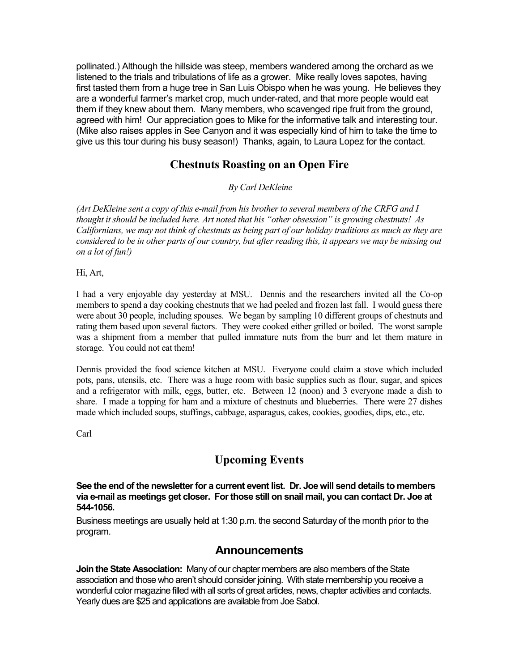pollinated.) Although the hillside was steep, members wandered among the orchard as we listened to the trials and tribulations of life as a grower. Mike really loves sapotes, having first tasted them from a huge tree in San Luis Obispo when he was young. He believes they are a wonderful farmerís market crop, much under-rated, and that more people would eat them if they knew about them. Many members, who scavenged ripe fruit from the ground, agreed with him! Our appreciation goes to Mike for the informative talk and interesting tour. (Mike also raises apples in See Canyon and it was especially kind of him to take the time to give us this tour during his busy season!) Thanks, again, to Laura Lopez for the contact.

# **Chestnuts Roasting on an Open Fire**

 *By Carl DeKleine* 

*(Art DeKleine sent a copy of this e-mail from his brother to several members of the CRFG and I thought it should be included here. Art noted that his "other obsession" is growing chestnuts! As Californians, we may not think of chestnuts as being part of our holiday traditions as much as they are considered to be in other parts of our country, but after reading this, it appears we may be missing out on a lot of fun!)*

Hi, Art,

I had a very enjoyable day yesterday at MSU. Dennis and the researchers invited all the Co-op members to spend a day cooking chestnuts that we had peeled and frozen last fall. I would guess there were about 30 people, including spouses. We began by sampling 10 different groups of chestnuts and rating them based upon several factors. They were cooked either grilled or boiled. The worst sample was a shipment from a member that pulled immature nuts from the burr and let them mature in storage. You could not eat them!

Dennis provided the food science kitchen at MSU. Everyone could claim a stove which included pots, pans, utensils, etc. There was a huge room with basic supplies such as flour, sugar, and spices and a refrigerator with milk, eggs, butter, etc. Between 12 (noon) and 3 everyone made a dish to share. I made a topping for ham and a mixture of chestnuts and blueberries. There were 27 dishes made which included soups, stuffings, cabbage, asparagus, cakes, cookies, goodies, dips, etc., etc.

Carl

# **Upcoming Events**

**See the end of the newsletter for a current event list. Dr. Joe will send details to members via e-mail as meetings get closer. For those still on snail mail, you can contact Dr. Joe at 544-1056.** 

Business meetings are usually held at 1:30 p.m. the second Saturday of the month prior to the program.

### **Announcements**

**Join the State Association:** Many of our chapter members are also members of the State association and those who arenít should consider joining. With state membership you receive a wonderful color magazine filled with all sorts of great articles, news, chapter activities and contacts. Yearly dues are \$25 and applications are available from Joe Sabol.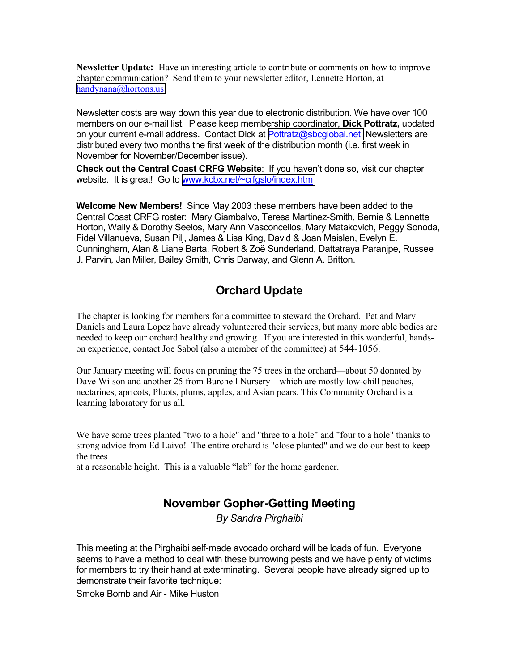**Newsletter Update:** Have an interesting article to contribute or comments on how to improve chapter communication? Send them to your newsletter editor, Lennette Horton, at [handynana@hortons.us](mailto:handynana@hortons.us)

Newsletter costs are way down this year due to electronic distribution. We have over 100 members on our e-mail list. Please keep membership coordinator, **Dick Pottratz,** updated on your current e-mail address. Contact Dick at [Pottratz@sbcglobal.net](mailto:Pottratz@sbcglobal.net) Newsletters are distributed every two months the first week of the distribution month (i.e. first week in November for November/December issue).

**Check out the Central Coast CRFG Website**: If you havenít done so, visit our chapter website. It is great! Go to [www.kcbx.net/~crfgslo/index.htm](http://www.kcbx.net/~crfgslo/index.htm)

**Welcome New Members!** Since May 2003 these members have been added to the Central Coast CRFG roster: Mary Giambalvo, Teresa Martinez-Smith, Bernie & Lennette Horton, Wally & Dorothy Seelos, Mary Ann Vasconcellos, Mary Matakovich, Peggy Sonoda, Fidel Villanueva, Susan Pilj, James & Lisa King, David & Joan Maislen, Evelyn E. Cunningham, Alan & Liane Barta, Robert & Zoë Sunderland, Dattatraya Paranjpe, Russee J. Parvin, Jan Miller, Bailey Smith, Chris Darway, and Glenn A. Britton.

# **Orchard Update**

The chapter is looking for members for a committee to steward the Orchard. Pet and Marv Daniels and Laura Lopez have already volunteered their services, but many more able bodies are needed to keep our orchard healthy and growing. If you are interested in this wonderful, handson experience, contact Joe Sabol (also a member of the committee) at 544-1056.

Our January meeting will focus on pruning the 75 trees in the orchard—about 50 donated by Dave Wilson and another 25 from Burchell Nursery—which are mostly low-chill peaches, nectarines, apricots, Pluots, plums, apples, and Asian pears. This Community Orchard is a learning laboratory for us all.

We have some trees planted "two to a hole" and "three to a hole" and "four to a hole" thanks to strong advice from Ed Laivo! The entire orchard is "close planted" and we do our best to keep the trees

at a reasonable height. This is a valuable "lab" for the home gardener.

### **November Gopher-Getting Meeting**

*By Sandra Pirghaibi* 

This meeting at the Pirghaibi self-made avocado orchard will be loads of fun. Everyone seems to have a method to deal with these burrowing pests and we have plenty of victims for members to try their hand at exterminating. Several people have already signed up to demonstrate their favorite technique:

Smoke Bomb and Air - Mike Huston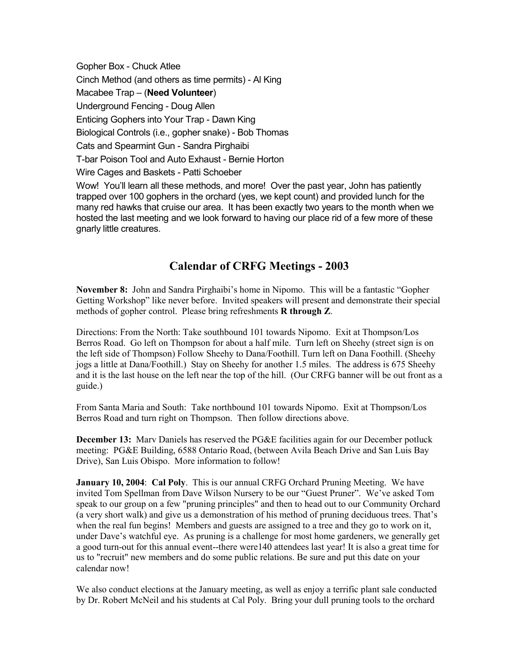Gopher Box - Chuck Atlee Cinch Method (and others as time permits) - Al King Macabee Trap - (**Need Volunteer**) Underground Fencing - Doug Allen Enticing Gophers into Your Trap - Dawn King Biological Controls (i.e., gopher snake) - Bob Thomas Cats and Spearmint Gun - Sandra Pirghaibi T-bar Poison Tool and Auto Exhaust - Bernie Horton Wire Cages and Baskets - Patti Schoeber Wow! Youíll learn all these methods, and more! Over the past year, John has patiently

trapped over 100 gophers in the orchard (yes, we kept count) and provided lunch for the many red hawks that cruise our area. It has been exactly two years to the month when we hosted the last meeting and we look forward to having our place rid of a few more of these gnarly little creatures.

### **Calendar of CRFG Meetings - 2003**

November 8: John and Sandra Pirghaibi's home in Nipomo. This will be a fantastic "Gopher" Getting Workshop" like never before. Invited speakers will present and demonstrate their special methods of gopher control. Please bring refreshments **R through Z**.

Directions: From the North: Take southbound 101 towards Nipomo. Exit at Thompson/Los Berros Road. Go left on Thompson for about a half mile. Turn left on Sheehy (street sign is on the left side of Thompson) Follow Sheehy to Dana/Foothill. Turn left on Dana Foothill. (Sheehy jogs a little at Dana/Foothill.) Stay on Sheehy for another 1.5 miles. The address is 675 Sheehy and it is the last house on the left near the top of the hill. (Our CRFG banner will be out front as a guide.)

From Santa Maria and South: Take northbound 101 towards Nipomo. Exit at Thompson/Los Berros Road and turn right on Thompson. Then follow directions above.

**December 13:** Marv Daniels has reserved the PG&E facilities again for our December potluck meeting: PG&E Building, 6588 Ontario Road, (between Avila Beach Drive and San Luis Bay Drive), San Luis Obispo. More information to follow!

**January 10, 2004**: **Cal Poly**. This is our annual CRFG Orchard Pruning Meeting. We have invited Tom Spellman from Dave Wilson Nursery to be our "Guest Pruner". We've asked Tom speak to our group on a few "pruning principles" and then to head out to our Community Orchard (a very short walk) and give us a demonstration of his method of pruning deciduous trees. That's when the real fun begins! Members and guests are assigned to a tree and they go to work on it, under Dave's watchful eye. As pruning is a challenge for most home gardeners, we generally get a good turn-out for this annual event--there were140 attendees last year! It is also a great time for us to "recruit" new members and do some public relations. Be sure and put this date on your calendar now!

We also conduct elections at the January meeting, as well as enjoy a terrific plant sale conducted by Dr. Robert McNeil and his students at Cal Poly. Bring your dull pruning tools to the orchard